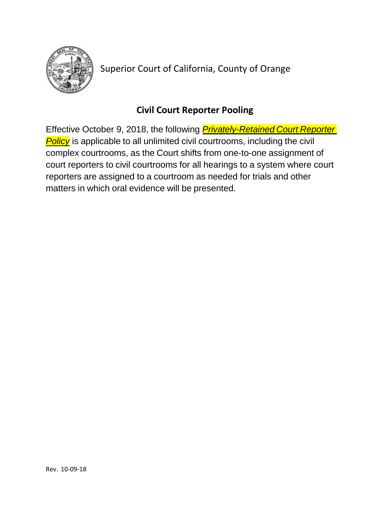

Superior Court of California, County of Orange

## **Civil Court Reporter Pooling**

*Policy* is applicable to all unlimited civil courtrooms, including the civil Effective October 9, 2018, the following *Privately-Retained Court Reporter*complex courtrooms, as the Court shifts from one-to-one assignment of court reporters to civil courtrooms for all hearings to a system where court reporters are assigned to a courtroom as needed for trials and other matters in which oral evidence will be presented.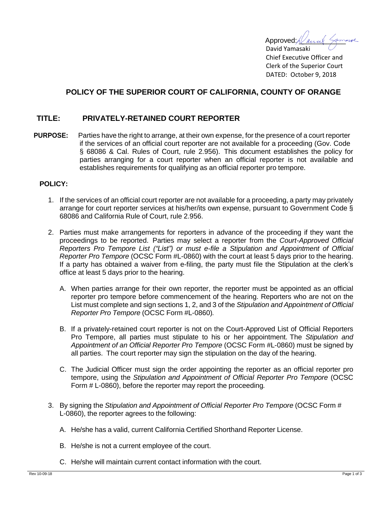Approved:  $\ell$  and  $\ell$ 

David Yamasaki Chief Executive Officer and Clerk of the Superior Court DATED: October 9, 2018

## **POLICY OF THE SUPERIOR COURT OF CALIFORNIA, COUNTY OF ORANGE**

## **TITLE: PRIVATELY-RETAINED COURT REPORTER**

**PURPOSE:** Parties have the right to arrange, at their own expense, for the presence of a court reporter if the services of an official court reporter are not available for a proceeding (Gov. Code § 68086 & Cal. Rules of Court, rule 2.956). This document establishes the policy for parties arranging for a court reporter when an official reporter is not available and establishes requirements for qualifying as an official reporter pro tempore.

## **POLICY:**

- 1. If the services of an official court reporter are not available for a proceeding, a party may privately arrange for court reporter services at his/her/its own expense, pursuant to Government Code § 68086 and California Rule of Court, rule 2.956.
- 2. Parties must make arrangements for reporters in advance of the proceeding if they want the proceedings to be reported. Parties may select a reporter from the *Court-Approved Official Reporters Pro Tempore List ("List") or must e-file a Stipulation and Appointment of Official Reporter Pro Tempore* (OCSC Form #L-0860) with the court at least 5 days prior to the hearing. If a party has obtained a waiver from e-filing, the party must file the Stipulation at the clerk's office at least 5 days prior to the hearing.
	- A. When parties arrange for their own reporter, the reporter must be appointed as an official reporter pro tempore before commencement of the hearing. Reporters who are not on the List must complete and sign sections 1, 2, and 3 of the *Stipulation and Appointment of Official Reporter Pro Tempore* (OCSC Form #L-0860)*.*
	- B. If a privately-retained court reporter is not on the Court-Approved List of Official Reporters Pro Tempore, all parties must stipulate to his or her appointment. The *Stipulation and Appointment of an Official Reporter Pro Tempore* (OCSC Form #L-0860) must be signed by all parties. The court reporter may sign the stipulation on the day of the hearing.
	- C. The Judicial Officer must sign the order appointing the reporter as an official reporter pro tempore, using the *Stipulation and Appointment of Official Reporter Pro Tempore* (OCSC Form # L-0860), before the reporter may report the proceeding*.*
- 3. By signing the *Stipulation and Appointment of Official Reporter Pro Tempore* (OCSC Form # L-0860), the reporter agrees to the following:
	- A. He/she has a valid, current California Certified Shorthand Reporter License.
	- B. He/she is not a current employee of the court.
	- C. He/she will maintain current contact information with the court.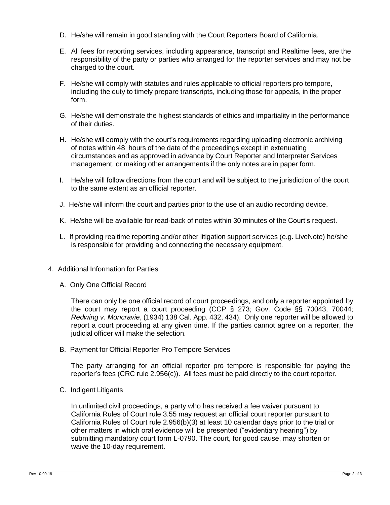- D. He/she will remain in good standing with the Court Reporters Board of California.
- E. All fees for reporting services, including appearance, transcript and Realtime fees, are the responsibility of the party or parties who arranged for the reporter services and may not be charged to the court.
- F. He/she will comply with statutes and rules applicable to official reporters pro tempore, including the duty to timely prepare transcripts, including those for appeals, in the proper form.
- G. He/she will demonstrate the highest standards of ethics and impartiality in the performance of their duties.
- H. He/she will comply with the court's requirements regarding uploading electronic archiving of notes within 48 hours of the date of the proceedings except in extenuating circumstances and as approved in advance by Court Reporter and Interpreter Services management, or making other arrangements if the only notes are in paper form.
- I. He/she will follow directions from the court and will be subject to the jurisdiction of the court to the same extent as an official reporter.
- J. He/she will inform the court and parties prior to the use of an audio recording device.
- K. He/she will be available for read-back of notes within 30 minutes of the Court's request.
- L. If providing realtime reporting and/or other litigation support services (e.g. LiveNote) he/she is responsible for providing and connecting the necessary equipment.
- 4. Additional Information for Parties
	- A. Only One Official Record

There can only be one official record of court proceedings, and only a reporter appointed by the court may report a court proceeding (CCP § 273; Gov. Code §§ 70043, 70044; *Redwing v. Moncravie*, (1934) 138 Cal. App. 432, 434). Only one reporter will be allowed to report a court proceeding at any given time. If the parties cannot agree on a reporter, the judicial officer will make the selection.

B. Payment for Official Reporter Pro Tempore Services

The party arranging for an official reporter pro tempore is responsible for paying the reporter's fees (CRC rule 2.956(c)). All fees must be paid directly to the court reporter.

C. Indigent Litigants

In unlimited civil proceedings, a party who has received a fee waiver pursuant to California Rules of Court rule 3.55 may request an official court reporter pursuant to California Rules of Court rule 2.956(b)(3) at least 10 calendar days prior to the trial or other matters in which oral evidence will be presented ("evidentiary hearing") by submitting mandatory court form L-0790. The court, for good cause, may shorten or waive the 10-day requirement.